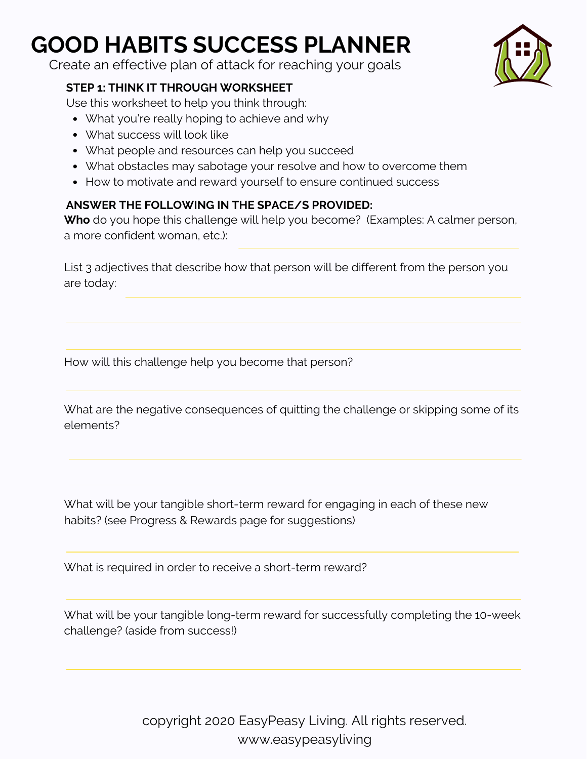Create an effective plan of attack for reaching your goals

### **STEP 1: THINK IT THROUGH WORKSHEET**

Use this worksheet to help you think through:

- What you're really hoping to achieve and why
- What success will look like
- What people and resources can help you succeed
- What obstacles may sabotage your resolve and how to overcome them
- How to motivate and reward yourself to ensure continued success

### **ANSWER THE FOLLOWING IN THE SPACE/S PROVIDED:**

**Who** do you hope this challenge will help you become? (Examples: A calmer person, a more confident woman, etc.):

List 3 adjectives that describe how that person will be different from the person you are today:

How will this challenge help you become that person?

What are the negative consequences of quitting the challenge or skipping some of its elements?

What will be your tangible short-term reward for engaging in each of these new habits? (see Progress & Rewards page for suggestions)

What is required in order to receive a short-term reward?

What will be your tangible long-term reward for successfully completing the 10-week challenge? (aside from success!)

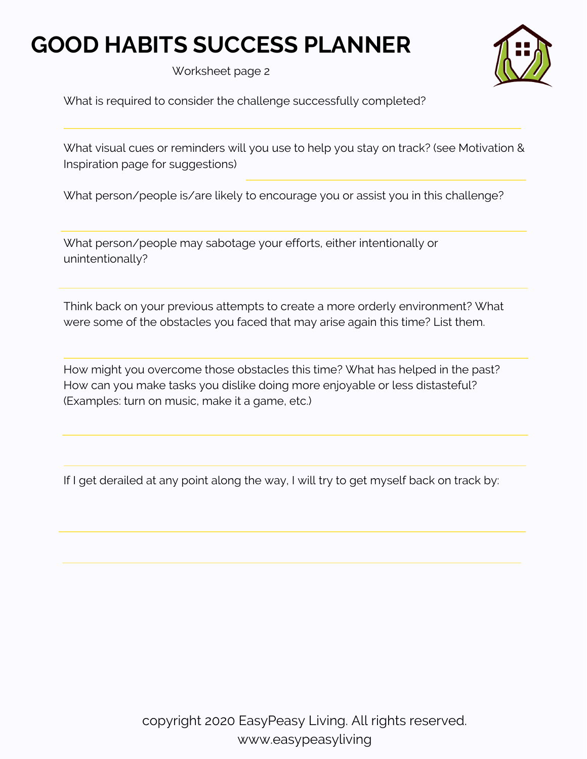Worksheet page 2

What is required to consider the challenge successfully completed?

What visual cues or reminders will you use to help you stay on track? (see Motivation & Inspiration page for suggestions)

What person/people is/are likely to encourage you or assist you in this challenge?

What person/people may sabotage your efforts, either intentionally or unintentionally?

Think back on your previous attempts to create a more orderly environment? What were some of the obstacles you faced that may arise again this time? List them.

How might you overcome those obstacles this time? What has helped in the past? How can you make tasks you dislike doing more enjoyable or less distasteful? (Examples: turn on music, make it a game, etc.)

If I get derailed at any point along the way, I will try to get myself back on track by: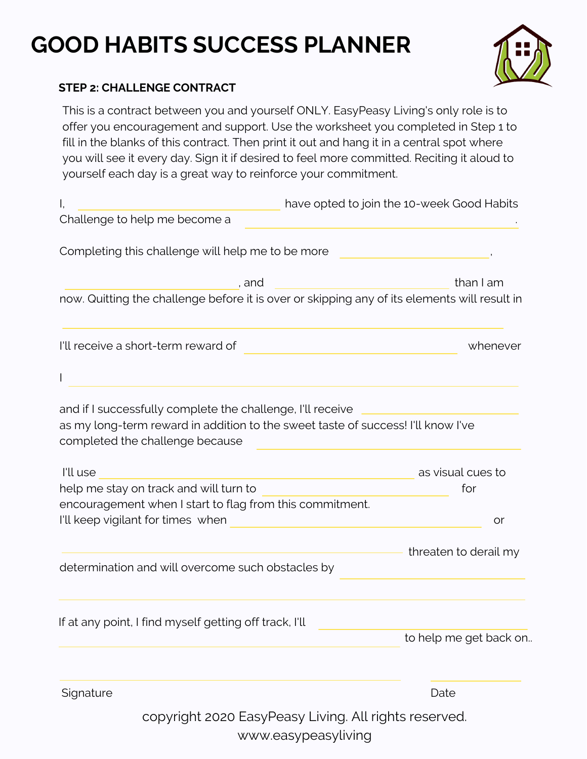

### **STEP 2: CHALLENGE CONTRACT**

This is a contract between you and yourself ONLY. EasyPeasy Living's only role is to offer you encouragement and support. Use the worksheet you completed in Step 1 to fill in the blanks of this contract. Then print it out and hang it in a central spot where you will see it every day. Sign it if desired to feel more committed. Reciting it aloud to yourself each day is a great way to reinforce your commitment.

| I,                                                                                                                                                                                |       |  | have opted to join the 10-week Good Habits            |          |
|-----------------------------------------------------------------------------------------------------------------------------------------------------------------------------------|-------|--|-------------------------------------------------------|----------|
| Challenge to help me become a                                                                                                                                                     |       |  |                                                       |          |
| Completing this challenge will help me to be more                                                                                                                                 |       |  |                                                       |          |
|                                                                                                                                                                                   | , and |  | than I am                                             |          |
| now. Quitting the challenge before it is over or skipping any of its elements will result in                                                                                      |       |  |                                                       |          |
| I'll receive a short-term reward of                                                                                                                                               |       |  |                                                       | whenever |
| L                                                                                                                                                                                 |       |  |                                                       |          |
| and if I successfully complete the challenge, I'll receive<br>as my long-term reward in addition to the sweet taste of success! I'll know I've<br>completed the challenge because |       |  |                                                       |          |
| I'll use                                                                                                                                                                          |       |  | as visual cues to                                     |          |
| help me stay on track and will turn to                                                                                                                                            |       |  | for                                                   |          |
| encouragement when I start to flag from this commitment.                                                                                                                          |       |  |                                                       |          |
| I'll keep vigilant for times when                                                                                                                                                 |       |  |                                                       | or       |
|                                                                                                                                                                                   |       |  | threaten to derail my                                 |          |
| determination and will overcome such obstacles by                                                                                                                                 |       |  |                                                       |          |
| If at any point, I find myself getting off track, I'll                                                                                                                            |       |  |                                                       |          |
|                                                                                                                                                                                   |       |  | to help me get back on                                |          |
| Signature                                                                                                                                                                         |       |  | Date                                                  |          |
|                                                                                                                                                                                   |       |  | copyright 2020 EasyPeasy Living. All rights reserved. |          |

www.easypeasyliving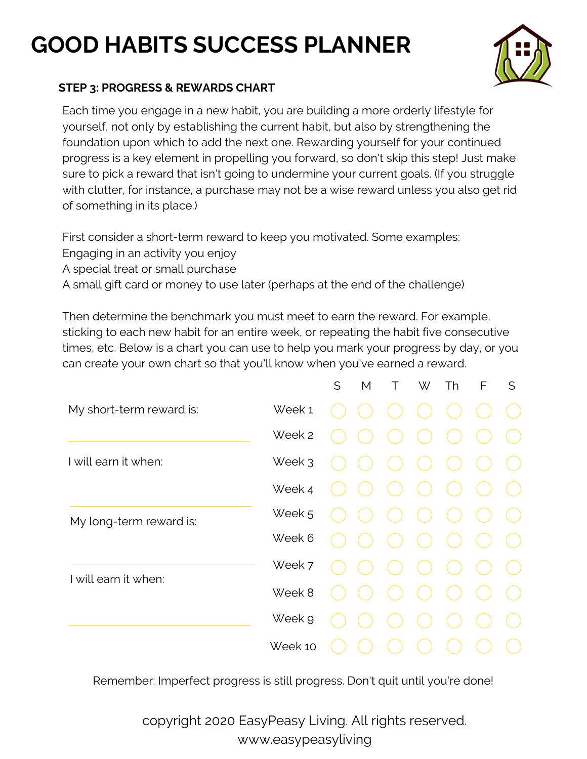

### **STEP 3: PROGRESS & REWARDS CHART**

Each time you engage in a new habit, you are building a more orderly lifestyle for yourself, not only by establishing the current habit, but also by strengthening the foundation upon which to add the next one. Rewarding yourself for your continued progress is a key element in propelling you forward, so don't skip this step! Just make sure to pick a reward that isn't going to undermine your current goals. (If you struggle with clutter, for instance, a purchase may not be a wise reward unless you also get rid of something in its place.)

First consider a short-term reward to keep you motivated. Some examples:

- Engaging in an activity you enjoy
- A special treat or small purchase

A small gift card or money to use later (perhaps at the end of the challenge)

Then determine the benchmark you must meet to earn the reward. For example, sticking to each new habit for an entire week, or repeating the habit five consecutive times, etc. Below is a chart you can use to help you mark your progress by day, or you can create your own chart so that you'll know when you've earned a reward.

|                          |         | S | M | T. | W | Th | F | S |
|--------------------------|---------|---|---|----|---|----|---|---|
| My short-term reward is: | Week 1  |   |   |    |   |    |   |   |
|                          | Week 2  |   |   |    |   |    |   |   |
| I will earn it when:     | Week 3  |   |   |    |   |    |   |   |
|                          | Week 4  |   |   |    |   |    |   |   |
| My long-term reward is:  | Week 5  |   |   |    |   |    |   |   |
|                          | Week 6  |   |   |    |   |    |   |   |
| I will earn it when:     | Week 7  |   |   |    |   |    |   |   |
|                          | Week 8  |   |   |    |   |    |   |   |
|                          | Week 9  |   |   |    |   |    |   |   |
|                          | Week 10 |   |   |    |   |    |   |   |

Remember: Imperfect progress is still progress. Don't quit until you're done!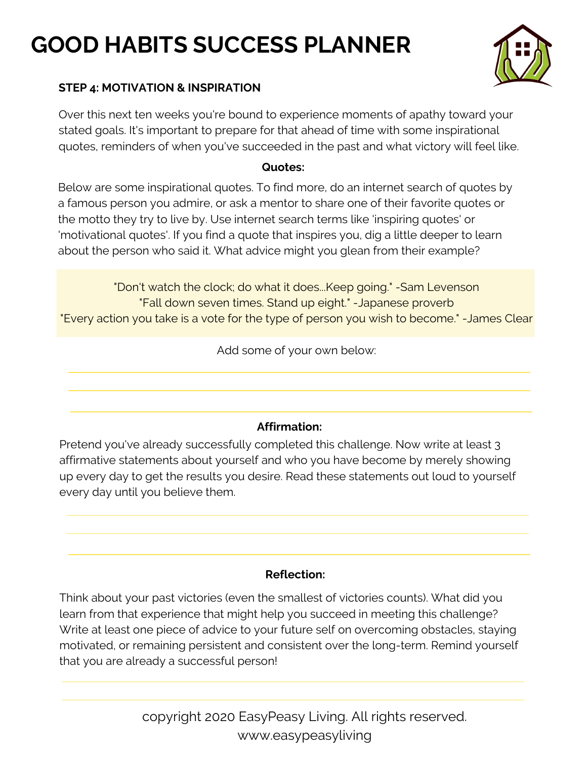

### **STEP 4: MOTIVATION & INSPIRATION**

Over this next ten weeks you're bound to experience moments of apathy toward your stated goals. It's important to prepare for that ahead of time with some inspirational quotes, reminders of when you've succeeded in the past and what victory will feel like.

#### **Quotes:**

Below are some inspirational quotes. To find more, do an internet search of quotes by a famous person you admire, or ask a mentor to share one of their favorite quotes or the motto they try to live by. Use internet search terms like 'inspiring quotes' or 'motivational quotes'. If you find a quote that inspires you, dig a little deeper to learn about the person who said it. What advice might you glean from their example?

"Don't watch the clock; do what it does...Keep going." -Sam Levenson "Fall down seven times. Stand up eight." -Japanese proverb "Every action you take is a vote for the type of person you wish to become." -James Clear

Add some of your own below:

### **Affirmation:**

Pretend you've already successfully completed this challenge. Now write at least 3 affirmative statements about yourself and who you have become by merely showing up every day to get the results you desire. Read these statements out loud to yourself every day until you believe them.

### **Reflection:**

Think about your past victories (even the smallest of victories counts). What did you learn from that experience that might help you succeed in meeting this challenge? Write at least one piece of advice to your future self on overcoming obstacles, staying motivated, or remaining persistent and consistent over the long-term. Remind yourself that you are already a successful person!